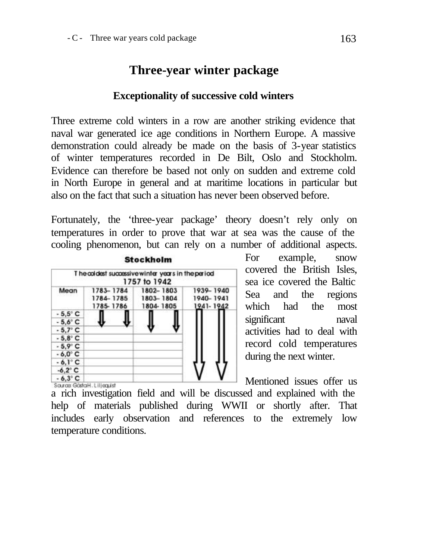## **Three-year winter package**

## **Exceptionality of successive cold winters**

Three extreme cold winters in a row are another striking evidence that naval war generated ice age conditions in Northern Europe. A massive demonstration could already be made on the basis of 3-year statistics of winter temperatures recorded in De Bilt, Oslo and Stockholm. Evidence can therefore be based not only on sudden and extreme cold in North Europe in general and at maritime locations in particular but also on the fact that such a situation has never been observed before.

Fortunately, the 'three-year package' theory doesn't rely only on temperatures in order to prove that war at sea was the cause of the cooling phenomenon, but can rely on a number of additional aspects.



For example, snow covered the British Isles, sea ice covered the Baltic Sea and the regions which had the most significant naval activities had to deal with record cold temperatures during the next winter.

Mentioned issues offer us Source GostaH. Liljequist a rich investigation field and will be discussed and explained with the help of materials published during WWII or shortly after. That includes early observation and references to the extremely low temperature conditions.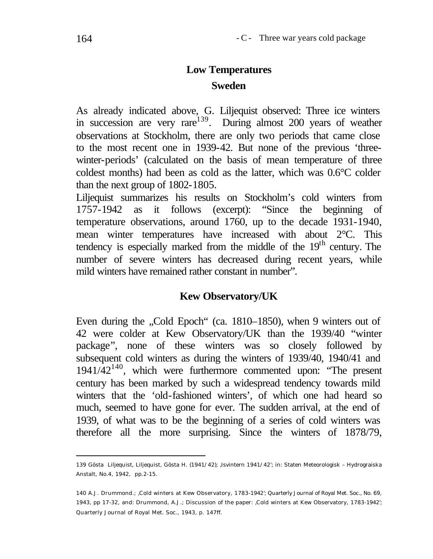## **Low Temperatures Sweden**

As already indicated above, G. Liljequist observed: Three ice winters in succession are very rare<sup>139</sup>. During almost 200 years of weather observations at Stockholm, there are only two periods that came close to the most recent one in 1939-42. But none of the previous 'threewinter-periods' (calculated on the basis of mean temperature of three coldest months) had been as cold as the latter, which was 0.6°C colder than the next group of 1802-1805.

Liljequist summarizes his results on Stockholm's cold winters from 1757-1942 as it follows (excerpt): "Since the beginning of temperature observations, around 1760, up to the decade 1931-1940, mean winter temperatures have increased with about 2°C. This tendency is especially marked from the middle of the  $19<sup>th</sup>$  century. The number of severe winters has decreased during recent years, while mild winters have remained rather constant in number".

## **Kew Observatory/UK**

Even during the "Cold Epoch" (ca. 1810–1850), when 9 winters out of 42 were colder at Kew Observatory/UK than the 1939/40 "winter package", none of these winters was so closely followed by subsequent cold winters as during the winters of 1939/40, 1940/41 and  $1941/42^{140}$ , which were furthermore commented upon: "The present century has been marked by such a widespread tendency towards mild winters that the 'old-fashioned winters', of which one had heard so much, seemed to have gone for ever. The sudden arrival, at the end of 1939, of what was to be the beginning of a series of cold winters was therefore all the more surprising. Since the winters of 1878/79,

<sup>139</sup> Gösta Liljequist, Liljequist, Gösta H. (1941/42); 'Isvintern 1941/42'; in: Staten Meteorologisk – Hydrograiska Anstalt, No.4, 1942, pp.2-15.

<sup>140</sup> A.J. Drummond.; 'Cold winters at Kew Observatory, 1783-1942'; Quarterly Journal of Royal Met. Soc., No. 69, 1943, pp 17-32, and: Drummond, A.J.; Discussion of the paper: 'Cold winters at Kew Observatory, 1783-1942'; Quarterly Journal of Royal Met. Soc., 1943, p. 147ff.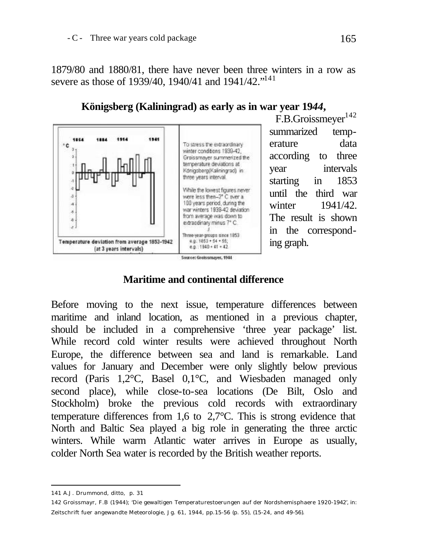1879/80 and 1880/81, there have never been three winters in a row as severe as those of 1939/40, 1940/41 and 1941/42."<sup>141</sup>



**Königsberg (Kaliningrad) as early as in war year 19***44***,**

## **Maritime and continental difference**

Before moving to the next issue, temperature differences between maritime and inland location, as mentioned in a previous chapter, should be included in a comprehensive 'three year package' list. While record cold winter results were achieved throughout North Europe, the difference between sea and land is remarkable. Land values for January and December were only slightly below previous record (Paris 1,2°C, Basel 0,1°C, and Wiesbaden managed only second place), while close-to-sea locations (De Bilt, Oslo and Stockholm) broke the previous cold records with extraordinary temperature differences from 1,6 to 2,7°C. This is strong evidence that North and Baltic Sea played a big role in generating the three arctic winters. While warm Atlantic water arrives in Europe as usually, colder North Sea water is recorded by the British weather reports.

l 141 A.J. Drummond, ditto, p. 31

<sup>142</sup> Groissmayr, F.B (1944); 'Die gewaltigen Temperaturestoerungen auf der Nordshemisphaere 1920-1942', in: Zeitschrift fuer angewandte Meteorologie, Jg. 61, 1944, pp.15-56 (p. 55), (15-24, and 49-56).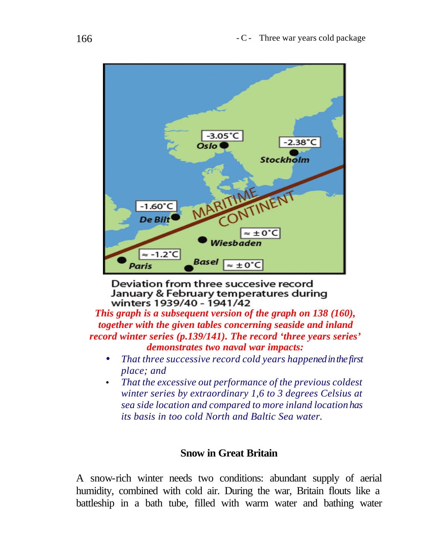

Deviation from three succesive record January & February temperatures during winters 1939/40 - 1941/42

*This graph is a subsequent version of the graph on 138 (160), together with the given tables concerning seaside and inland record winter series (p.139/141). The record 'three years series' demonstrates two naval war impacts:*

- *That three successive record cold years happened in the first place; and*
- *That the excessive out performance of the previous coldest winter series by extraordinary 1,6 to 3 degrees Celsius at sea side location and compared to more inland location has its basis in too cold North and Baltic Sea water.*

## **Snow in Great Britain**

A snow-rich winter needs two conditions: abundant supply of aerial humidity, combined with cold air. During the war, Britain flouts like a battleship in a bath tube, filled with warm water and bathing water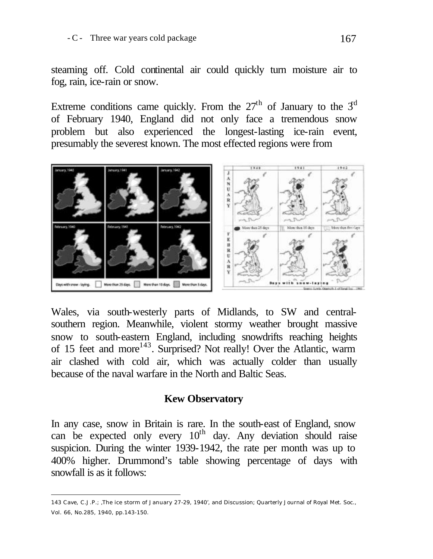steaming off. Cold continental air could quickly turn moisture air to fog, rain, ice-rain or snow.

Extreme conditions came quickly. From the  $27<sup>th</sup>$  of January to the  $3<sup>d</sup>$ of February 1940, England did not only face a tremendous snow problem but also experienced the longest-lasting ice-rain event, presumably the severest known. The most effected regions were from



Wales, via south-westerly parts of Midlands, to SW and centralsouthern region. Meanwhile, violent stormy weather brought massive snow to south-eastern England, including snowdrifts reaching heights of 15 feet and more<sup>143</sup>. Surprised? Not really! Over the Atlantic, warm air clashed with cold air, which was actually colder than usually because of the naval warfare in the North and Baltic Seas.

## **Kew Observatory**

In any case, snow in Britain is rare. In the south-east of England, snow can be expected only every  $10<sup>th</sup>$  day. Any deviation should raise suspicion. During the winter 1939-1942, the rate per month was up to 400% higher. Drummond's table showing percentage of days with snowfall is as it follows:

<sup>143</sup> Cave, C.J.P.; 'The ice storm of January 27-29, 1940', and Discussion; Quarterly Journal of Royal Met. Soc., Vol. 66, No.285, 1940, pp.143-150.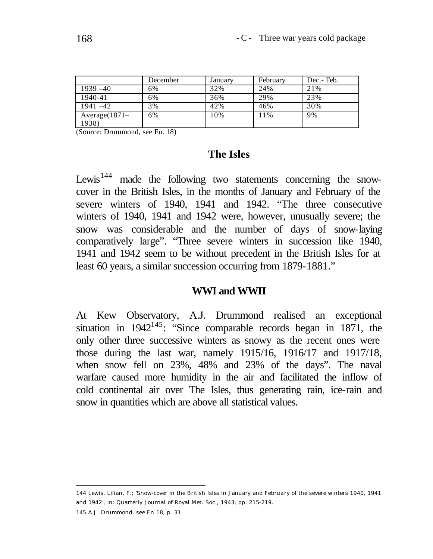|                  | December | January | February | Dec.- Feb. |
|------------------|----------|---------|----------|------------|
| $1939 - 40$      | 6%       | 32%     | 24%      | 21%        |
| 1940-41          | 6%       | 36%     | 29%      | 23%        |
| $1941 - 42$      | 3%       | 42%     | 46%      | 30%        |
| $Average(1871 -$ | 6%       | 10%     | 11%      | 9%         |
| 1938)            |          |         |          |            |

(Source: Drummond, see Fn. 18)

#### **The Isles**

Lewis<sup>144</sup> made the following two statements concerning the snowcover in the British Isles, in the months of January and February of the severe winters of 1940, 1941 and 1942. "The three consecutive winters of 1940, 1941 and 1942 were, however, unusually severe; the snow was considerable and the number of days of snow-laying comparatively large". "Three severe winters in succession like 1940, 1941 and 1942 seem to be without precedent in the British Isles for at least 60 years, a similar succession occurring from 1879-1881."

#### **WWI and WWII**

At Kew Observatory, A.J. Drummond realised an exceptional situation in  $1942^{145}$ : "Since comparable records began in 1871, the only other three successive winters as snowy as the recent ones were those during the last war, namely 1915/16, 1916/17 and 1917/18, when snow fell on 23%, 48% and 23% of the days". The naval warfare caused more humidity in the air and facilitated the inflow of cold continental air over The Isles, thus generating rain, ice-rain and snow in quantities which are above all statistical values.

145 A.J. Drummond, see Fn 18, p. 31

<sup>144</sup> Lewis, Lilian, F.; 'Snow-cover in the British Isles in January and February of the severe winters 1940, 1941 and 1942', in: Quarterly Journal of Royal Met. Soc., 1943, pp. 215-219.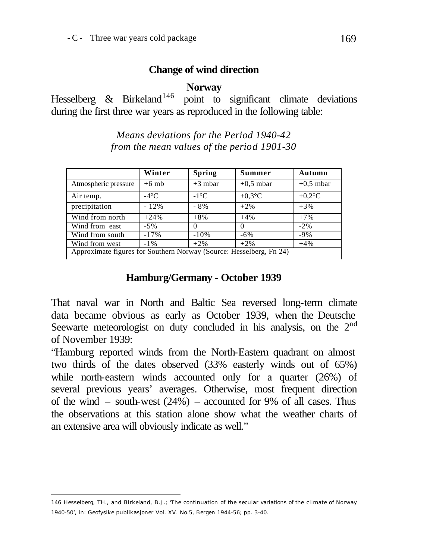## **Change of wind direction**

**Norway**

Hesselberg  $\&$  Birkeland<sup>146</sup> point to significant climate deviations during the first three war years as reproduced in the following table:

> *Means deviations for the Period 1940-42 from the mean values of the period 1901-30*

|                                                                                                                                   | Winter         | <b>Spring</b>  | Summer      | Autumn      |  |
|-----------------------------------------------------------------------------------------------------------------------------------|----------------|----------------|-------------|-------------|--|
| Atmospheric pressure                                                                                                              | $+6$ mb        | $+3$ mbar      | $+0.5$ mbar | $+0.5$ mbar |  |
| Air temp.                                                                                                                         | $-4^{\circ}$ C | $-1^{\circ}$ C | $+0.3$ °C   | $+0.2$ °C   |  |
| precipitation                                                                                                                     | $-12%$         | $-8%$          | $+2\%$      | $+3%$       |  |
| Wind from north                                                                                                                   | $+24%$         | $+8%$          | $+4%$       | $+7%$       |  |
| Wind from east                                                                                                                    | $-5\%$         |                |             | $-2\%$      |  |
| Wind from south                                                                                                                   | $-17%$         | $-10%$         | $-6\%$      | $-9%$       |  |
| Wind from west                                                                                                                    | $-1\%$         | $+2%$          | $+2\%$      | $+4%$       |  |
| $\sim$ $\sim$ $\sim$ $\sim$ $\sim$<br>$\sim$ $\sim$ $\sim$<br><b>TT 11</b><br>$\mathbf{X}$<br>$\sim$<br>$\mathbf{r}$ $\mathbf{a}$ |                |                |             |             |  |

Approximate figures for Southern Norway (Source: Hesselberg, Fn 24)

## **Hamburg/Germany - October 1939**

That naval war in North and Baltic Sea reversed long-term climate data became obvious as early as October 1939, when the Deutsche Seewarte meteorologist on duty concluded in his analysis, on the 2<sup>nd</sup> of November 1939:

"Hamburg reported winds from the North-Eastern quadrant on almost two thirds of the dates observed (33% easterly winds out of 65%) while north-eastern winds accounted only for a quarter (26%) of several previous years' averages. Otherwise, most frequent direction of the wind – south-west (24%) – accounted for 9% of all cases. Thus the observations at this station alone show what the weather charts of an extensive area will obviously indicate as well."

<sup>146</sup> Hesselberg, TH., and Birkeland, B.J.; 'The continuation of the secular variations of the climate of Norway 1940-50', in: Geofysike publikasjoner Vol. XV. No.5, Bergen 1944-56; pp. 3-40.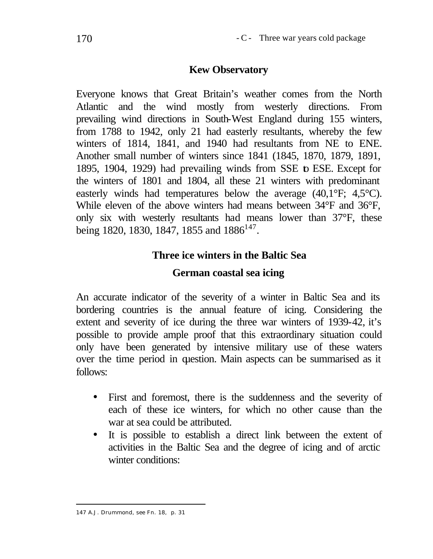## **Kew Observatory**

Everyone knows that Great Britain's weather comes from the North Atlantic and the wind mostly from westerly directions. From prevailing wind directions in South-West England during 155 winters, from 1788 to 1942, only 21 had easterly resultants, whereby the few winters of 1814, 1841, and 1940 had resultants from NE to ENE. Another small number of winters since 1841 (1845, 1870, 1879, 1891, 1895, 1904, 1929) had prevailing winds from SSE to ESE. Except for the winters of 1801 and 1804, all these 21 winters with predominant easterly winds had temperatures below the average (40,1°F; 4,5°C). While eleven of the above winters had means between 34°F and 36°F, only six with westerly resultants had means lower than 37°F, these being 1820, 1830, 1847, 1855 and  $1886^{147}$ .

# **Three ice winters in the Baltic Sea German coastal sea icing**

An accurate indicator of the severity of a winter in Baltic Sea and its bordering countries is the annual feature of icing. Considering the extent and severity of ice during the three war winters of 1939-42, it's possible to provide ample proof that this extraordinary situation could only have been generated by intensive military use of these waters over the time period in question. Main aspects can be summarised as it follows:

- First and foremost, there is the suddenness and the severity of each of these ice winters, for which no other cause than the war at sea could be attributed.
- It is possible to establish a direct link between the extent of activities in the Baltic Sea and the degree of icing and of arctic winter conditions:

l 147 A.J. Drummond, see Fn. 18, p. 31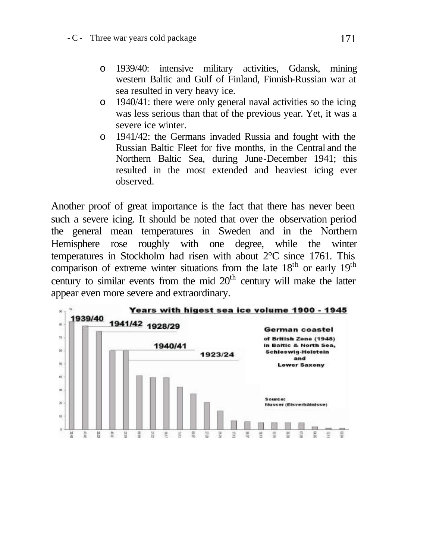- o 1939/40: intensive military activities, Gdansk, mining western Baltic and Gulf of Finland, Finnish-Russian war at sea resulted in very heavy ice.
- o 1940/41: there were only general naval activities so the icing was less serious than that of the previous year. Yet, it was a severe ice winter.
- o 1941/42: the Germans invaded Russia and fought with the Russian Baltic Fleet for five months, in the Central and the Northern Baltic Sea, during June-December 1941; this resulted in the most extended and heaviest icing ever observed.

Another proof of great importance is the fact that there has never been such a severe icing. It should be noted that over the observation period the general mean temperatures in Sweden and in the Northern Hemisphere rose roughly with one degree, while the winter temperatures in Stockholm had risen with about 2°C since 1761. This comparison of extreme winter situations from the late  $18<sup>th</sup>$  or early  $19<sup>th</sup>$ century to similar events from the mid  $20<sup>th</sup>$  century will make the latter appear even more severe and extraordinary.

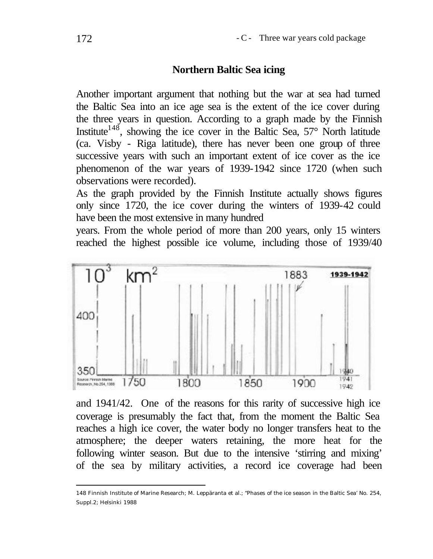## **Northern Baltic Sea icing**

Another important argument that nothing but the war at sea had turned the Baltic Sea into an ice age sea is the extent of the ice cover during the three years in question. According to a graph made by the Finnish Institute<sup>148</sup>, showing the ice cover in the Baltic Sea,  $57^{\circ}$  North latitude (ca. Visby - Riga latitude), there has never been one group of three successive years with such an important extent of ice cover as the ice phenomenon of the war years of 1939-1942 since 1720 (when such observations were recorded).

As the graph provided by the Finnish Institute actually shows figures only since 1720, the ice cover during the winters of 1939-42 could have been the most extensive in many hundred

years. From the whole period of more than 200 years, only 15 winters reached the highest possible ice volume, including those of 1939/40



and 1941/42. One of the reasons for this rarity of successive high ice coverage is presumably the fact that, from the moment the Baltic Sea reaches a high ice cover, the water body no longer transfers heat to the atmosphere; the deeper waters retaining, the more heat for the following winter season. But due to the intensive 'stirring and mixing' of the sea by military activities, a record ice coverage had been

<sup>148</sup> Finnish Institute of Marine Research; M. Leppäranta et al.; "Phases of the ice season in the Baltic Sea' No. 254, Suppl.2; Helsinki 1988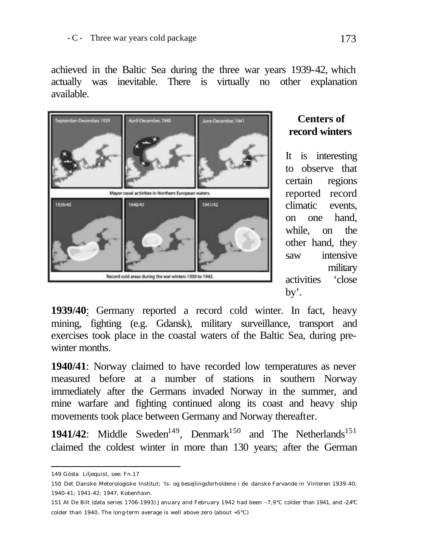achieved in the Baltic Sea during the three war years 1939-42, which actually was inevitable. There is virtually no other explanation available.



## **Centers of record winters**

It is interesting to observe that certain regions reported record climatic events, on one hand, while, on the other hand, they saw intensive military activities 'close by'.

**1939/40**: Germany reported a record cold winter. In fact, heavy mining, fighting (e.g. Gdansk), military surveillance, transport and exercises took place in the coastal waters of the Baltic Sea, during prewinter months.

**1940/41**: Norway claimed to have recorded low temperatures as never measured before at a number of stations in southern Norway immediately after the Germans invaded Norway in the summer, and mine warfare and fighting continued along its coast and heavy ship movements took place between Germany and Norway thereafter.

**1941/42:** Middle Sweden<sup>149</sup>, Denmark<sup>150</sup> and The Netherlands<sup>151</sup> claimed the coldest winter in more than 130 years; after the German

l 149 Gösta Liljequist, see: Fn.17

<sup>150</sup> Det Danske Metorologiske Institut; 'Is- og besejlingsforholdene i de danske Farvande in Vinteren 1939-40; 1940-41; 1941-42; 1947, Kobenhavn.

<sup>151</sup> At De Bilt (data series 1706-1993) January and February 1942 had been –7,9°C colder than 1941, and –2,4°C colder than 1940. The long-term average is well above zero (about +5°C)